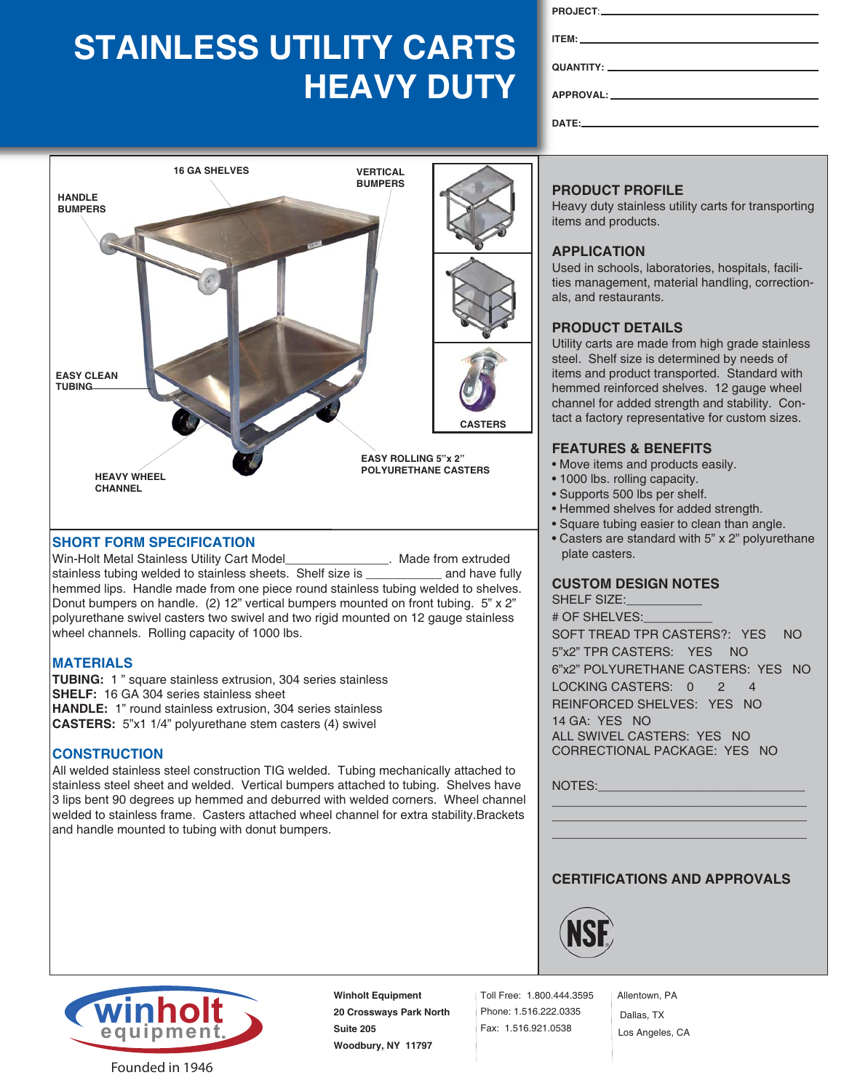# **STAINLESS UTILITY CARTS HEAVY DUTY**



# **SHORT FORM SPECIFICATION**

Win-Holt Metal Stainless Utility Cart Model\_\_\_\_\_\_\_\_\_\_\_\_\_\_\_\_\_. Made from extruded stainless tubing welded to stainless sheets. Shelf size is example and have fully hemmed lips. Handle made from one piece round stainless tubing welded to shelves. Donut bumpers on handle. (2) 12" vertical bumpers mounted on front tubing. 5" x 2" polyurethane swivel casters two swivel and two rigid mounted on 12 gauge stainless wheel channels. Rolling capacity of 1000 lbs.

#### **MATERIALS**

**TUBING:** 1 " square stainless extrusion, 304 series stainless **SHELF:** 16 GA 304 series stainless sheet **HANDLE:** 1" round stainless extrusion, 304 series stainless **CASTERS:** 5"x1 1/4" polyurethane stem casters (4) swivel

#### **CONSTRUCTION**

All welded stainless steel construction TIG welded. Tubing mechanically attached to stainless steel sheet and welded. Vertical bumpers attached to tubing. Shelves have 3 lips bent 90 degrees up hemmed and deburred with welded corners. Wheel channel welded to stainless frame. Casters attached wheel channel for extra stability.Brackets and handle mounted to tubing with donut bumpers.

| APPROVAL: APPROVAL:                                                                                                                                                                                                                                                                                                                                                                                                                                                                                                                                                                                                                                                                                                                                     |
|---------------------------------------------------------------------------------------------------------------------------------------------------------------------------------------------------------------------------------------------------------------------------------------------------------------------------------------------------------------------------------------------------------------------------------------------------------------------------------------------------------------------------------------------------------------------------------------------------------------------------------------------------------------------------------------------------------------------------------------------------------|
| $\mathsf{DATE}:\mathsf{C} \longrightarrow \mathsf{C} \longrightarrow \mathsf{C} \longrightarrow \mathsf{C} \longrightarrow \mathsf{C} \longrightarrow \mathsf{C} \longrightarrow \mathsf{C} \longrightarrow \mathsf{C} \longrightarrow \mathsf{C} \longrightarrow \mathsf{C} \longrightarrow \mathsf{C} \longrightarrow \mathsf{C} \longrightarrow \mathsf{C} \longrightarrow \mathsf{C} \longrightarrow \mathsf{C} \longrightarrow \mathsf{C} \longrightarrow \mathsf{C} \longrightarrow \mathsf{C} \longrightarrow \mathsf{C} \longrightarrow \mathsf{C} \longrightarrow \mathsf{C} \longrightarrow \mathsf{C} \longrightarrow \mathsf{C} \longrightarrow \mathsf{C} \longrightarrow \mathsf{C} \longrightarrow \mathsf{C} \longrightarrow \mathsf{C$ |

# **PRODUCT PROFILE**

Heavy duty stainless utility carts for transporting items and products.

### **APPLICATION**

Used in schools, laboratories, hospitals, facilities management, material handling, correctionals, and restaurants.

#### **PRODUCT DETAILS**

Utility carts are made from high grade stainless steel. Shelf size is determined by needs of items and product transported. Standard with hemmed reinforced shelves. 12 gauge wheel channel for added strength and stability. Contact a factory representative for custom sizes.

#### **FEATURES & BENEFITS**

- Move items and products easily.
- 1000 lbs. rolling capacity.
- Supports 500 lbs per shelf.
- Hemmed shelves for added strength.
- Square tubing easier to clean than angle.
- Casters are standard with 5" x 2" polyurethane plate casters.

## **CUSTOM DESIGN NOTES**

SHELF SIZE: # OF SHELVES:\_\_\_\_\_\_\_\_\_\_ SOFT TREAD TPR CASTERS?: YES NO 5"x2" TPR CASTERS: YES NO 6"x2" POLYURETHANE CASTERS: YES NO LOCKING CASTERS: 0 2 4 REINFORCED SHELVES: YES NO 14 GA: YES NO ALL SWIVEL CASTERS: YES NO CORRECTIONAL PACKAGE: YES NO

NOTES:

## **CERTIFICATIONS AND APPROVALS**

\_\_\_\_\_\_\_\_\_\_\_\_\_\_\_\_\_\_\_\_\_\_\_\_\_\_\_\_\_\_\_\_\_\_\_\_\_ \_\_\_\_\_\_\_\_\_\_\_\_\_\_\_\_\_\_\_\_\_\_\_\_\_\_\_\_\_\_\_\_\_\_\_\_\_ \_\_\_\_\_\_\_\_\_\_\_\_\_\_\_\_\_\_\_\_\_\_\_\_\_\_\_\_\_\_\_\_\_\_\_\_\_





**Winholt Equipment 20 Crossways Park North Suite 205 Woodbury, NY 11797**

Toll Free: 1.800.444.3595 Phone: 1.516.222.0335 Fax: 1.516.921.0538

Allentown, PA Dallas, TX Los Angeles, CA